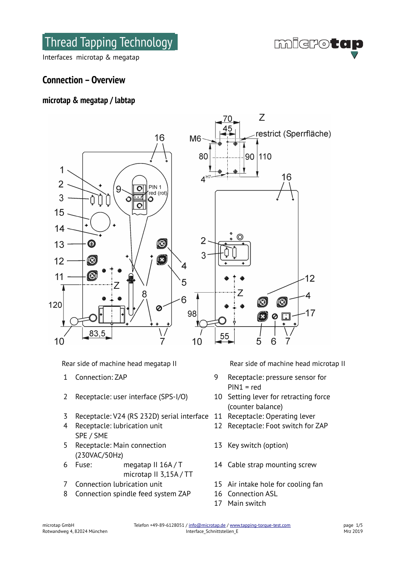Thread Tapping Technology

**microtap** 

Interfaces microtap & megatap

# **Connection – Overview**

# **microtap & megatap / labtap**



Rear side of machine head megatap II Rear side of machine head microtap II

- 
- 2 Receptacle: user interface (SPS-I/O) 10 Setting lever for retracting force
- 3 Receptacle: V24 (RS 232D) serial interface 11 Receptacle: Operating lever
- 4 Receptacle: lubrication unit SPE / SME
- 5 Receptacle: Main connection (230VAC/50Hz)
- 6 Fuse: megatap II 16A / T
	- microtap II 3,15A / TT
- 
- 8 Connection spindle feed system ZAP 16 Connection ASL

- 1 Connection: ZAP 9 Receptacle: pressure sensor for PIN1 = red
	- (counter balance)
	-
	- 12 Receptacle: Foot switch for ZAP
	- 13 Key switch (option)
	- 14 Cable strap mounting screw
- 7 Connection lubrication unit 15 Air intake hole for cooling fan
	-
	- 17 Main switch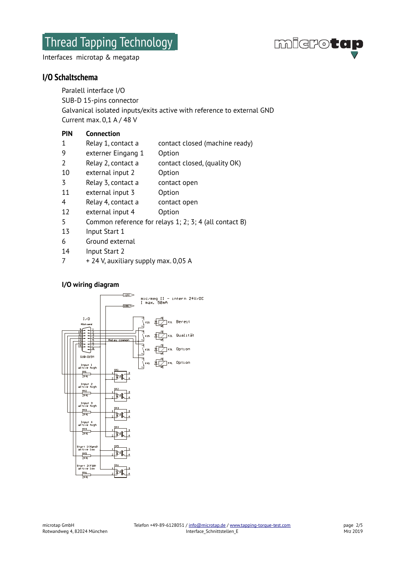Thread Tapping Technology

**migrotan** 

Interfaces microtap & megatap

# **I/O Schaltschema**

Paralell interface I/O SUB-D 15-pins connector Galvanical isolated inputs/exits active with reference to external GND Current max. 0,1 A / 48 V

# **PIN Connection**

- 1 Relay 1, contact a contact closed (machine ready)
- 9 externer Eingang 1 Option
- 2 Relay 2, contact a contact closed, (quality OK)
- 10 external input 2 Option
- 3 Relay 3, contact a contact open
- 11 external input 3 Option
- 4 Relay 4, contact a contact open
- 12 external input 4 Option
- 5 Common reference for relays 1; 2; 3; 4 (all contact B)
- 13 Input Start 1
- 6 Ground external
- 14 Input Start 2
- $7 + 24$  V, auxiliary supply max. 0,05 A

# **I/O wiring diagram**

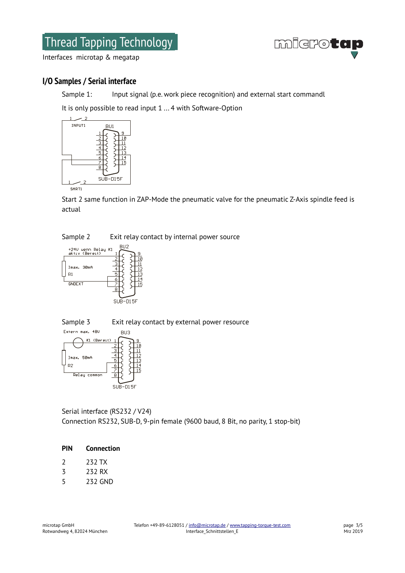# Thread Tapping Technology



Interfaces microtap & megatap

# **I/O Samples / Serial interface**

Sample 1: Input signal (p.e. work piece recognition) and external start commandl

It is only possible to read input 1 ... 4 with Software-Option



Start 2 same function in ZAP-Mode the pneumatic valve for the pneumatic Z-Axis spindle feed is actual





Sample 3 Exit relay contact by external power resource



Serial interface (RS232 / V24) Connection RS232, SUB-D, 9-pin female (9600 baud, 8 Bit, no parity, 1 stop-bit)

## **PIN Connection**

- 3 232 RX
- 5 232 GND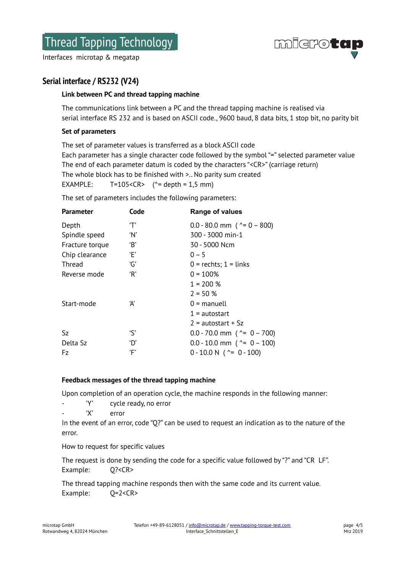Interfaces microtap & megatap



# **Serial interface / RS232 (V24)**

#### **Link between PC and thread tapping machine**

The communications link between a PC and the thread tapping machine is realised via serial interface RS 232 and is based on ASCII code., 9600 baud, 8 data bits, 1 stop bit, no parity bit

#### **Set of parameters**

The set of parameter values is transferred as a block ASCII code Each parameter has a single character code followed by the symbol "=" selected parameter value The end of each parameter datum is coded by the characters "<CR>" (carriage return) The whole block has to be finished with >.. No parity sum created EXAMPLE:  $T=105 < CR$  ( $\textdegree$  depth = 1,5 mm)

The set of parameters includes the following parameters:

| <b>Parameter</b> | Code | Range of values                             |
|------------------|------|---------------------------------------------|
| Depth            | 'Τ'  | $0.0 - 80.0$ mm ( $\textdegree = 0 - 800$ ) |
| Spindle speed    | 'N'  | 300 - 3000 min-1                            |
| Fracture torque  | 'B'  | 30 - 5000 Ncm                               |
| Chip clearance   | Έ,   | $0 - 5$                                     |
| Thread           | 'G'  | $0 =$ rechts; $1 =$ links                   |
| Reverse mode     | R    | $0 = 100%$                                  |
|                  |      | $1 = 200 %$                                 |
|                  |      | $2 = 50 %$                                  |
| Start-mode       | Ά    | $0 =$ manuell                               |
|                  |      | $1 =$ autostart                             |
|                  |      | $2$ = autostart + Sz                        |
| Sz.              | 'S'  | $0.0 - 70.0$ mm ( $\textdegree = 0 - 700$ ) |
| Delta Sz         | 'D'  | $0.0 - 10.0$ mm ( $\textdegree = 0 - 100$ ) |
| Fz               | ʻΕ'  | $0 - 10.0 N$ ( $\textdegree = 0 - 100$ )    |
|                  |      |                                             |

#### **Feedback messages of the thread tapping machine**

Upon completion of an operation cycle, the machine responds in the following manner:

- 'Y' cycle ready, no error
- 'X' error

In the event of an error, code "Q?" can be used to request an indication as to the nature of the error.

How to request for specific values

The request is done by sending the code for a specific value followed by "?" and "CR LF". Example: Q?<CR>

The thread tapping machine responds then with the same code and its current value. Example: Q=2<CR>